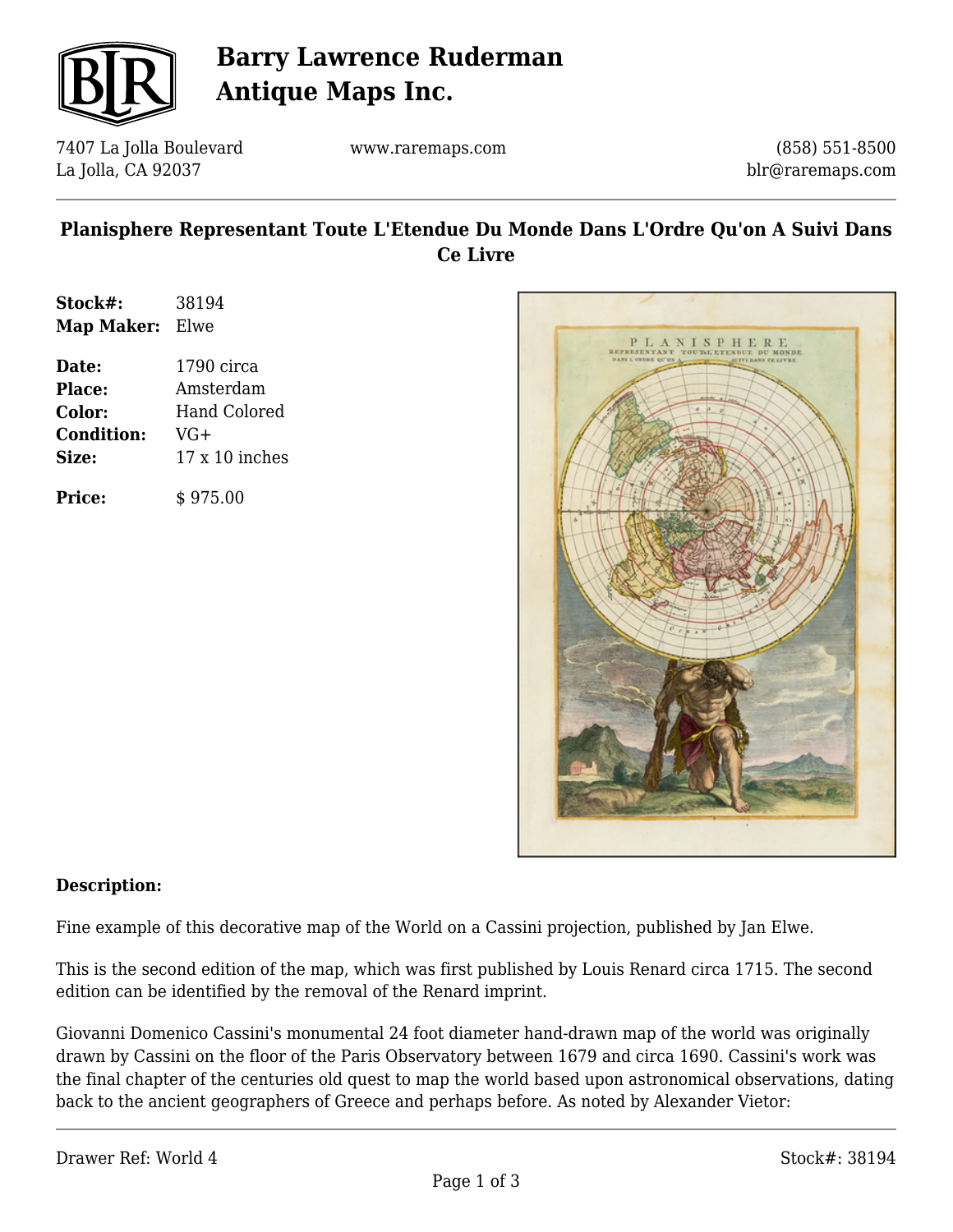

# **Barry Lawrence Ruderman Antique Maps Inc.**

7407 La Jolla Boulevard La Jolla, CA 92037

www.raremaps.com

(858) 551-8500 blr@raremaps.com

### **Planisphere Representant Toute L'Etendue Du Monde Dans L'Ordre Qu'on A Suivi Dans Ce Livre**

| Stock#:    | 38194 |
|------------|-------|
| Map Maker: | Elwe  |

**Date:** 1790 circa **Place:** Amsterdam **Color:** Hand Colored **Condition:** VG+ **Size:** 17 x 10 inches

**Price:**  $\qquad$  \$ 975.00



#### **Description:**

Fine example of this decorative map of the World on a Cassini projection, published by Jan Elwe.

This is the second edition of the map, which was first published by Louis Renard circa 1715. The second edition can be identified by the removal of the Renard imprint.

Giovanni Domenico Cassini's monumental 24 foot diameter hand-drawn map of the world was originally drawn by Cassini on the floor of the Paris Observatory between 1679 and circa 1690. Cassini's work was the final chapter of the centuries old quest to map the world based upon astronomical observations, dating back to the ancient geographers of Greece and perhaps before. As noted by Alexander Vietor: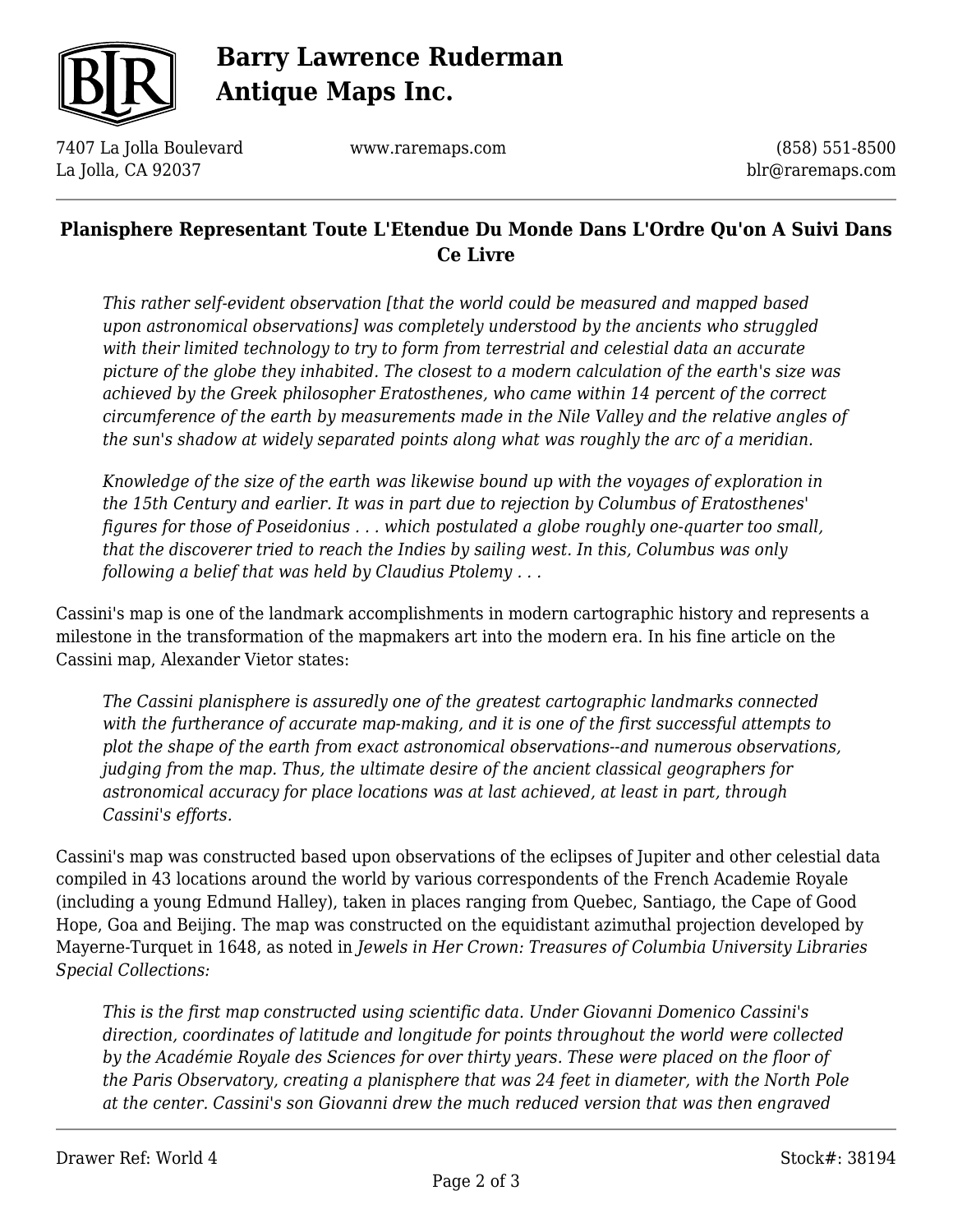

# **Barry Lawrence Ruderman Antique Maps Inc.**

7407 La Jolla Boulevard La Jolla, CA 92037

www.raremaps.com

(858) 551-8500 blr@raremaps.com

### **Planisphere Representant Toute L'Etendue Du Monde Dans L'Ordre Qu'on A Suivi Dans Ce Livre**

*This rather self-evident observation [that the world could be measured and mapped based upon astronomical observations] was completely understood by the ancients who struggled with their limited technology to try to form from terrestrial and celestial data an accurate picture of the globe they inhabited. The closest to a modern calculation of the earth's size was achieved by the Greek philosopher Eratosthenes, who came within 14 percent of the correct circumference of the earth by measurements made in the Nile Valley and the relative angles of the sun's shadow at widely separated points along what was roughly the arc of a meridian.*

*Knowledge of the size of the earth was likewise bound up with the voyages of exploration in the 15th Century and earlier. It was in part due to rejection by Columbus of Eratosthenes' figures for those of Poseidonius . . . which postulated a globe roughly one-quarter too small, that the discoverer tried to reach the Indies by sailing west. In this, Columbus was only following a belief that was held by Claudius Ptolemy . . .*

Cassini's map is one of the landmark accomplishments in modern cartographic history and represents a milestone in the transformation of the mapmakers art into the modern era. In his fine article on the Cassini map, Alexander Vietor states:

*The Cassini planisphere is assuredly one of the greatest cartographic landmarks connected with the furtherance of accurate map-making, and it is one of the first successful attempts to plot the shape of the earth from exact astronomical observations--and numerous observations, judging from the map. Thus, the ultimate desire of the ancient classical geographers for astronomical accuracy for place locations was at last achieved, at least in part, through Cassini's efforts.*

Cassini's map was constructed based upon observations of the eclipses of Jupiter and other celestial data compiled in 43 locations around the world by various correspondents of the French Academie Royale (including a young Edmund Halley), taken in places ranging from Quebec, Santiago, the Cape of Good Hope, Goa and Beijing. The map was constructed on the equidistant azimuthal projection developed by Mayerne-Turquet in 1648, as noted in *Jewels in Her Crown: Treasures of Columbia University Libraries Special Collections:*

*This is the first map constructed using scientific data. Under Giovanni Domenico Cassini's direction, coordinates of latitude and longitude for points throughout the world were collected by the Académie Royale des Sciences for over thirty years. These were placed on the floor of the Paris Observatory, creating a planisphere that was 24 feet in diameter, with the North Pole at the center. Cassini's son Giovanni drew the much reduced version that was then engraved*